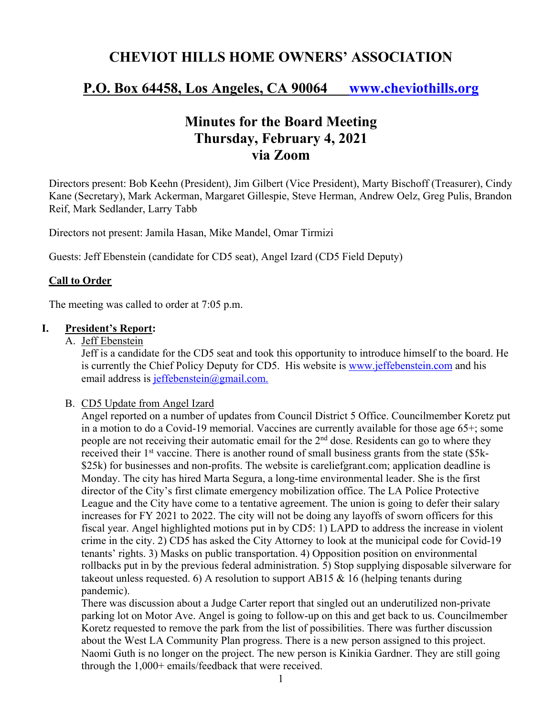# **CHEVIOT HILLS HOME OWNERS' ASSOCIATION**

## **P.O. Box 64458, Los Angeles, CA 90064 www.cheviothills.org**

# **Minutes for the Board Meeting Thursday, February 4, 2021 via Zoom**

Directors present: Bob Keehn (President), Jim Gilbert (Vice President), Marty Bischoff (Treasurer), Cindy Kane (Secretary), Mark Ackerman, Margaret Gillespie, Steve Herman, Andrew Oelz, Greg Pulis, Brandon Reif, Mark Sedlander, Larry Tabb

Directors not present: Jamila Hasan, Mike Mandel, Omar Tirmizi

Guests: Jeff Ebenstein (candidate for CD5 seat), Angel Izard (CD5 Field Deputy)

#### **Call to Order**

The meeting was called to order at 7:05 p.m.

#### **I. President's Report:**

A. Jeff Ebenstein

Jeff is a candidate for the CD5 seat and took this opportunity to introduce himself to the board. He is currently the Chief Policy Deputy for CD5. His website is www.jeffebenstein.com and his email address is jeffebenstein@gmail.com.

#### B. CD5 Update from Angel Izard

Angel reported on a number of updates from Council District 5 Office. Councilmember Koretz put in a motion to do a Covid-19 memorial. Vaccines are currently available for those age 65+; some people are not receiving their automatic email for the  $2<sup>nd</sup>$  dose. Residents can go to where they received their 1<sup>st</sup> vaccine. There is another round of small business grants from the state (\$5k-\$25k) for businesses and non-profits. The website is careliefgrant.com; application deadline is Monday. The city has hired Marta Segura, a long-time environmental leader. She is the first director of the City's first climate emergency mobilization office. The LA Police Protective League and the City have come to a tentative agreement. The union is going to defer their salary increases for FY 2021 to 2022. The city will not be doing any layoffs of sworn officers for this fiscal year. Angel highlighted motions put in by CD5: 1) LAPD to address the increase in violent crime in the city. 2) CD5 has asked the City Attorney to look at the municipal code for Covid-19 tenants' rights. 3) Masks on public transportation. 4) Opposition position on environmental rollbacks put in by the previous federal administration. 5) Stop supplying disposable silverware for takeout unless requested. 6) A resolution to support AB15  $\&$  16 (helping tenants during pandemic).

There was discussion about a Judge Carter report that singled out an underutilized non-private parking lot on Motor Ave. Angel is going to follow-up on this and get back to us. Councilmember Koretz requested to remove the park from the list of possibilities. There was further discussion about the West LA Community Plan progress. There is a new person assigned to this project. Naomi Guth is no longer on the project. The new person is Kinikia Gardner. They are still going through the 1,000+ emails/feedback that were received.